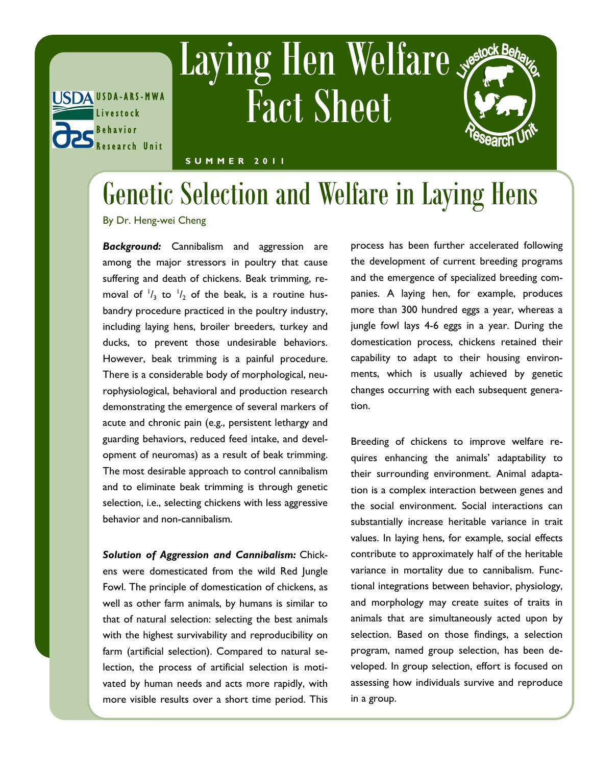

## Laying Hen Welfare Fact Sheet

## **S U M M E R 2 0 1 1**

## Genetic Selection and Welfare in Laying Hens

By Dr. Heng-wei Cheng

*Background:* Cannibalism and aggression are among the major stressors in poultry that cause suffering and death of chickens. Beak trimming, removal of  $\frac{1}{3}$  to  $\frac{1}{2}$  of the beak, is a routine husbandry procedure practiced in the poultry industry, including laying hens, broiler breeders, turkey and ducks, to prevent those undesirable behaviors. However, beak trimming is a painful procedure. There is a considerable body of morphological, neurophysiological, behavioral and production research demonstrating the emergence of several markers of acute and chronic pain (e.g., persistent lethargy and guarding behaviors, reduced feed intake, and development of neuromas) as a result of beak trimming. The most desirable approach to control cannibalism and to eliminate beak trimming is through genetic selection, i.e., selecting chickens with less aggressive behavior and non-cannibalism.

*Solution of Aggression and Cannibalism:* Chickens were domesticated from the wild Red Jungle Fowl. The principle of domestication of chickens, as well as other farm animals, by humans is similar to that of natural selection: selecting the best animals with the highest survivability and reproducibility on farm (artificial selection). Compared to natural selection, the process of artificial selection is motivated by human needs and acts more rapidly, with more visible results over a short time period. This

process has been further accelerated following the development of current breeding programs and the emergence of specialized breeding companies. A laying hen, for example, produces more than 300 hundred eggs a year, whereas a jungle fowl lays 4-6 eggs in a year. During the domestication process, chickens retained their capability to adapt to their housing environments, which is usually achieved by genetic changes occurring with each subsequent generation.

Breeding of chickens to improve welfare requires enhancing the animals' adaptability to their surrounding environment. Animal adaptation is a complex interaction between genes and the social environment. Social interactions can substantially increase heritable variance in trait values. In laying hens, for example, social effects contribute to approximately half of the heritable variance in mortality due to cannibalism. Functional integrations between behavior, physiology, and morphology may create suites of traits in animals that are simultaneously acted upon by selection. Based on those findings, a selection program, named group selection, has been developed. In group selection, effort is focused on assessing how individuals survive and reproduce in a group.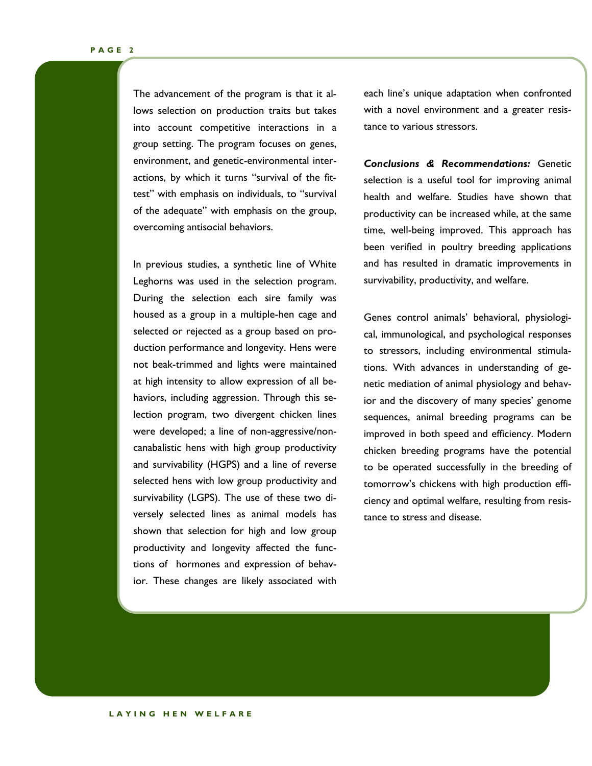The advancement of the program is that it allows selection on production traits but takes into account competitive interactions in a group setting. The program focuses on genes, environment, and genetic-environmental interactions, by which it turns "survival of the fittest" with emphasis on individuals, to "survival of the adequate" with emphasis on the group, overcoming antisocial behaviors.

In previous studies, a synthetic line of White Leghorns was used in the selection program. During the selection each sire family was housed as a group in a multiple-hen cage and selected or rejected as a group based on production performance and longevity. Hens were not beak-trimmed and lights were maintained at high intensity to allow expression of all behaviors, including aggression. Through this selection program, two divergent chicken lines were developed; a line of non-aggressive/noncanabalistic hens with high group productivity and survivability (HGPS) and a line of reverse selected hens with low group productivity and survivability (LGPS). The use of these two diversely selected lines as animal models has shown that selection for high and low group productivity and longevity affected the functions of hormones and expression of behavior. These changes are likely associated with

each line's unique adaptation when confronted with a novel environment and a greater resistance to various stressors.

*Conclusions & Recommendations:* Genetic selection is a useful tool for improving animal health and welfare. Studies have shown that productivity can be increased while, at the same time, well-being improved. This approach has been verified in poultry breeding applications and has resulted in dramatic improvements in survivability, productivity, and welfare.

Genes control animals' behavioral, physiological, immunological, and psychological responses to stressors, including environmental stimulations. With advances in understanding of genetic mediation of animal physiology and behavior and the discovery of many species' genome sequences, animal breeding programs can be improved in both speed and efficiency. Modern chicken breeding programs have the potential to be operated successfully in the breeding of tomorrow's chickens with high production efficiency and optimal welfare, resulting from resistance to stress and disease.